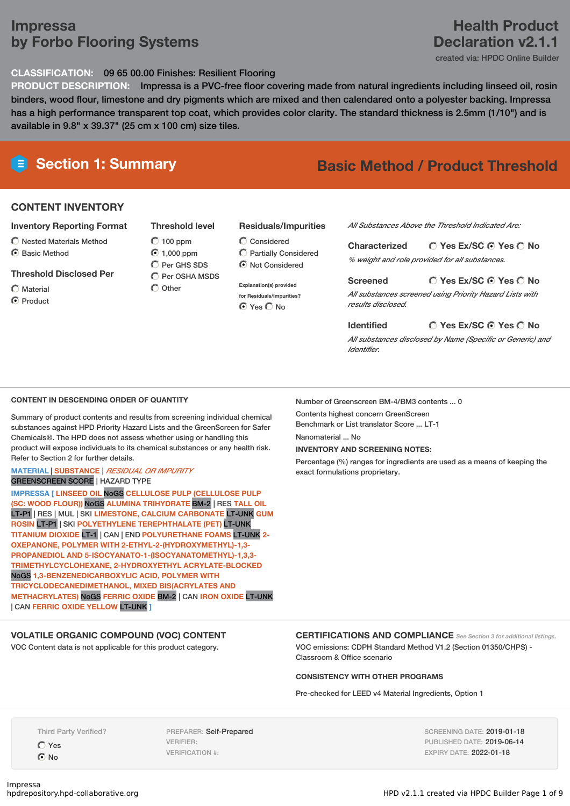## **Impressa by Forbo Flooring Systems**

## **Health Product Declaration v2.1.1**

created via: HPDC Online Builder

### **CLASSIFICATION:** 09 65 00.00 Finishes: Resilient Flooring

**PRODUCT DESCRIPTION:** Impressa is a PVC-free floor covering made from natural ingredients including linseed oil, rosin binders, wood flour, limestone and dry pigments which are mixed and then calendared onto a polyester backing. Impressa has a high performance transparent top coat, which provides color clarity. The standard thickness is 2.5mm (1/10") and is available in 9.8" x 39.37" (25 cm x 100 cm) size tiles.

# **Section 1: Summary Basic Method / Product Threshold**

## **CONTENT INVENTORY**

#### **Inventory Reporting Format**

- $\bigcirc$  Nested Materials Method
- C Basic Method

#### **Threshold Disclosed Per**

Material

C Product

 $O$  100 ppm 1,000 ppm  $O$  Per GHS SDS  $\overline{O}$  Per OSHA MSDS

**Threshold level**

 $\bigcirc$  Other

## **Residuals/Impurities**

Considered Partially Considered  $\odot$  Not Considered

**Explanation(s) provided for Residuals/Impurities?** ⊙ Yes O No

*All Substances Above the Threshold Indicated Are:*

**Yes Ex/SC Yes No Characterized** *% weight and role provided for all substances.*

#### **Yes Ex/SC Yes No Screened**

*All substances screened using Priority Hazard Lists with results disclosed.*

**Yes Ex/SC Yes No Identified** *All substances disclosed by Name (Specific or Generic) and Identifier.*

### **CONTENT IN DESCENDING ORDER OF QUANTITY**

Summary of product contents and results from screening individual chemical substances against HPD Priority Hazard Lists and the GreenScreen for Safer Chemicals®. The HPD does not assess whether using or handling this product will expose individuals to its chemical substances or any health risk. Refer to Section 2 for further details.

#### **MATERIAL** | **SUBSTANCE** | *RESIDUAL OR IMPURITY* GREENSCREEN SCORE | HAZARD TYPE

**IMPRESSA [ LINSEED OIL** NoGS **CELLULOSE PULP (CELLULOSE PULP (SC: WOOD FLOUR))** NoGS **ALUMINA TRIHYDRATE** BM-2 | RES **TALL OIL** LT-P1 | RES | MUL | SKI **LIMESTONE, CALCIUM CARBONATE** LT-UNK **GUM ROSIN** LT-P1 | SKI **POLYETHYLENE TEREPHTHALATE (PET)** LT-UNK **TITANIUM DIOXIDE** LT-1 | CAN | END **POLYURETHANE FOAMS** LT-UNK **2- OXEPANONE, POLYMER WITH 2-ETHYL-2-(HYDROXYMETHYL)-1,3- PROPANEDIOL AND 5-ISOCYANATO-1-(ISOCYANATOMETHYL)-1,3,3- TRIMETHYLCYCLOHEXANE, 2-HYDROXYETHYL ACRYLATE-BLOCKED** NoGS **1,3-BENZENEDICARBOXYLIC ACID, POLYMER WITH TRICYCLODECANEDIMETHANOL, MIXED BIS(ACRYLATES AND METHACRYLATES)** NoGS **FERRIC OXIDE** BM-2 | CAN **IRON OXIDE** LT-UNK | CAN **FERRIC OXIDE YELLOW** LT-UNK **]**

PREPARER: Self-Prepared

VERIFIER: VERIFICATION #:

## **VOLATILE ORGANIC COMPOUND (VOC) CONTENT**

VOC Content data is not applicable for this product category.

Number of Greenscreen BM-4/BM3 contents ... 0

Contents highest concern GreenScreen

Benchmark or List translator Score ... LT-1

Nanomaterial ... No

**INVENTORY AND SCREENING NOTES:**

Percentage (%) ranges for ingredients are used as a means of keeping the exact formulations proprietary.

Third Party Verified?

Yes No

**CERTIFICATIONS AND COMPLIANCE** *See Section <sup>3</sup> for additional listings.* VOC emissions: CDPH Standard Method V1.2 (Section 01350/CHPS) - Classroom & Office scenario

#### **CONSISTENCY WITH OTHER PROGRAMS**

Pre-checked for LEED v4 Material Ingredients, Option 1

SCREENING DATE: 2019-01-18 PUBLISHED DATE: 2019-06-14 EXPIRY DATE: 2022-01-18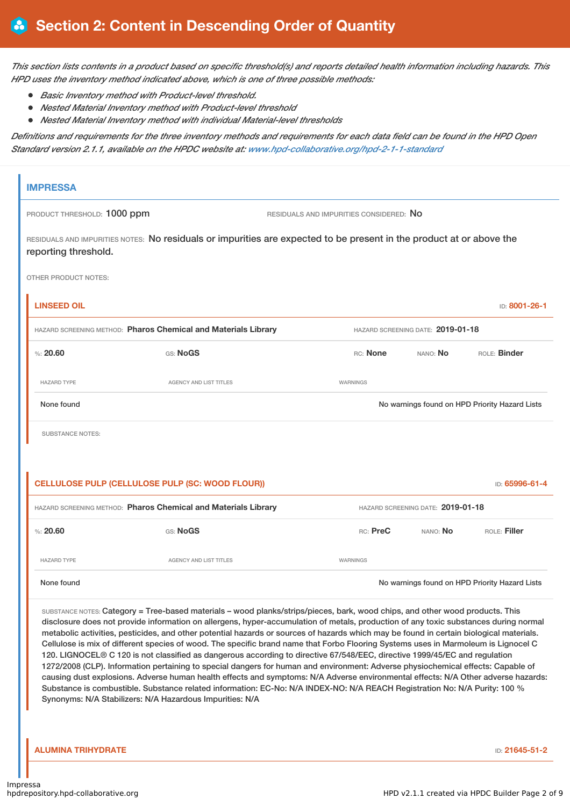This section lists contents in a product based on specific threshold(s) and reports detailed health information including hazards. This *HPD uses the inventory method indicated above, which is one of three possible methods:*

- *Basic Inventory method with Product-level threshold.*
- *Nested Material Inventory method with Product-level threshold*
- *Nested Material Inventory method with individual Material-level thresholds*

Definitions and requirements for the three inventory methods and requirements for each data field can be found in the HPD Open *Standard version 2.1.1, available on the HPDC website at: [www.hpd-collaborative.org/hpd-2-1-1-standard](https://www.hpd-collaborative.org/hpd-2-1-1-standard)*

| <b>IMPRESSA</b>                                                |                                                                                                                                                                                                                                                                                                                                                                                                                                                                                                                                                                                                                                                                                                                                                                                                                                                                                                                                                                                                                                                                                             |          |                                   |                                                |
|----------------------------------------------------------------|---------------------------------------------------------------------------------------------------------------------------------------------------------------------------------------------------------------------------------------------------------------------------------------------------------------------------------------------------------------------------------------------------------------------------------------------------------------------------------------------------------------------------------------------------------------------------------------------------------------------------------------------------------------------------------------------------------------------------------------------------------------------------------------------------------------------------------------------------------------------------------------------------------------------------------------------------------------------------------------------------------------------------------------------------------------------------------------------|----------|-----------------------------------|------------------------------------------------|
| PRODUCT THRESHOLD: 1000 ppm                                    | RESIDUALS AND IMPURITIES CONSIDERED: NO                                                                                                                                                                                                                                                                                                                                                                                                                                                                                                                                                                                                                                                                                                                                                                                                                                                                                                                                                                                                                                                     |          |                                   |                                                |
| reporting threshold.                                           | RESIDUALS AND IMPURITIES NOTES: No residuals or impurities are expected to be present in the product at or above the                                                                                                                                                                                                                                                                                                                                                                                                                                                                                                                                                                                                                                                                                                                                                                                                                                                                                                                                                                        |          |                                   |                                                |
| <b>OTHER PRODUCT NOTES:</b>                                    |                                                                                                                                                                                                                                                                                                                                                                                                                                                                                                                                                                                                                                                                                                                                                                                                                                                                                                                                                                                                                                                                                             |          |                                   |                                                |
| <b>LINSEED OIL</b>                                             |                                                                                                                                                                                                                                                                                                                                                                                                                                                                                                                                                                                                                                                                                                                                                                                                                                                                                                                                                                                                                                                                                             |          |                                   | <b>ID: 8001-26-1</b>                           |
| HAZARD SCREENING METHOD: Pharos Chemical and Materials Library |                                                                                                                                                                                                                                                                                                                                                                                                                                                                                                                                                                                                                                                                                                                                                                                                                                                                                                                                                                                                                                                                                             |          | HAZARD SCREENING DATE: 2019-01-18 |                                                |
| %20.60<br>GS: NoGS                                             |                                                                                                                                                                                                                                                                                                                                                                                                                                                                                                                                                                                                                                                                                                                                                                                                                                                                                                                                                                                                                                                                                             | RC: None | NANO: <b>No</b>                   | ROLE: Binder                                   |
| <b>HAZARD TYPE</b>                                             | <b>AGENCY AND LIST TITLES</b>                                                                                                                                                                                                                                                                                                                                                                                                                                                                                                                                                                                                                                                                                                                                                                                                                                                                                                                                                                                                                                                               | WARNINGS |                                   |                                                |
| None found                                                     |                                                                                                                                                                                                                                                                                                                                                                                                                                                                                                                                                                                                                                                                                                                                                                                                                                                                                                                                                                                                                                                                                             |          |                                   | No warnings found on HPD Priority Hazard Lists |
| <b>SUBSTANCE NOTES:</b>                                        |                                                                                                                                                                                                                                                                                                                                                                                                                                                                                                                                                                                                                                                                                                                                                                                                                                                                                                                                                                                                                                                                                             |          |                                   |                                                |
|                                                                |                                                                                                                                                                                                                                                                                                                                                                                                                                                                                                                                                                                                                                                                                                                                                                                                                                                                                                                                                                                                                                                                                             |          |                                   |                                                |
|                                                                |                                                                                                                                                                                                                                                                                                                                                                                                                                                                                                                                                                                                                                                                                                                                                                                                                                                                                                                                                                                                                                                                                             |          |                                   |                                                |
| CELLULOSE PULP (CELLULOSE PULP (SC: WOOD FLOUR))               |                                                                                                                                                                                                                                                                                                                                                                                                                                                                                                                                                                                                                                                                                                                                                                                                                                                                                                                                                                                                                                                                                             |          |                                   | ID: 65996-61-4                                 |
| HAZARD SCREENING METHOD: Pharos Chemical and Materials Library |                                                                                                                                                                                                                                                                                                                                                                                                                                                                                                                                                                                                                                                                                                                                                                                                                                                                                                                                                                                                                                                                                             |          | HAZARD SCREENING DATE: 2019-01-18 |                                                |
| %20.60<br>GS: NoGS                                             |                                                                                                                                                                                                                                                                                                                                                                                                                                                                                                                                                                                                                                                                                                                                                                                                                                                                                                                                                                                                                                                                                             | RC: PreC | NANO: No                          | ROLE: Filler                                   |
| <b>HAZARD TYPE</b>                                             | <b>AGENCY AND LIST TITLES</b>                                                                                                                                                                                                                                                                                                                                                                                                                                                                                                                                                                                                                                                                                                                                                                                                                                                                                                                                                                                                                                                               | WARNINGS |                                   |                                                |
| None found                                                     |                                                                                                                                                                                                                                                                                                                                                                                                                                                                                                                                                                                                                                                                                                                                                                                                                                                                                                                                                                                                                                                                                             |          |                                   | No warnings found on HPD Priority Hazard Lists |
| Synonyms: N/A Stabilizers: N/A Hazardous Impurities: N/A       | SUBSTANCE NOTES: Category = Tree-based materials - wood planks/strips/pieces, bark, wood chips, and other wood products. This<br>disclosure does not provide information on allergens, hyper-accumulation of metals, production of any toxic substances during normal<br>metabolic activities, pesticides, and other potential hazards or sources of hazards which may be found in certain biological materials.<br>Cellulose is mix of different species of wood. The specific brand name that Forbo Flooring Systems uses in Marmoleum is Lignocel C<br>120. LIGNOCEL® C 120 is not classified as dangerous according to directive 67/548/EEC, directive 1999/45/EC and regulation<br>1272/2008 (CLP). Information pertaining to special dangers for human and environment: Adverse physiochemical effects: Capable of<br>causing dust explosions. Adverse human health effects and symptoms: N/A Adverse environmental effects: N/A Other adverse hazards:<br>Substance is combustible. Substance related information: EC-No: N/A INDEX-NO: N/A REACH Registration No: N/A Purity: 100 % |          |                                   |                                                |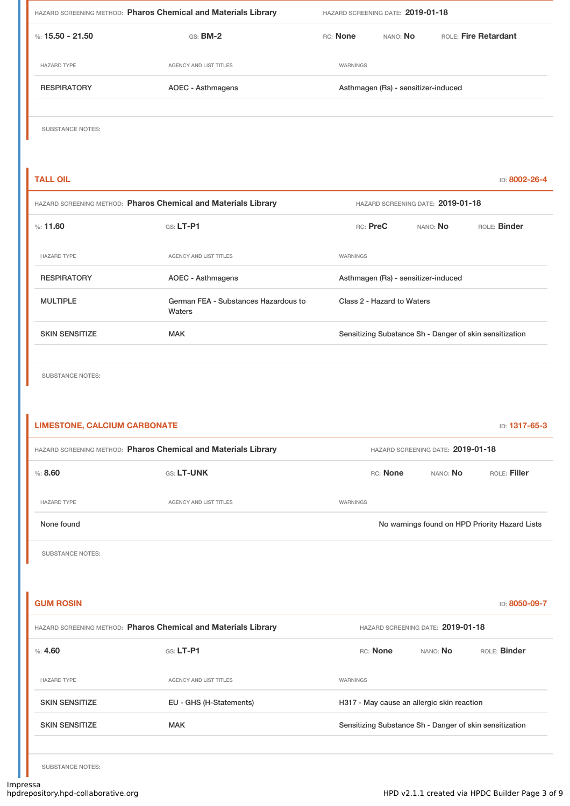| HAZARD SCREENING METHOD: Pharos Chemical and Materials Library |                                                                | HAZARD SCREENING DATE: 2019-01-18 |                                     |                      |
|----------------------------------------------------------------|----------------------------------------------------------------|-----------------------------------|-------------------------------------|----------------------|
| %: $15.50 - 21.50$                                             | GS: <b>BM-2</b>                                                | RC: None                          | NANO: No                            | ROLE: Fire Retardant |
| <b>HAZARD TYPE</b>                                             | AGENCY AND LIST TITLES                                         | WARNINGS                          |                                     |                      |
| <b>RESPIRATORY</b>                                             | AOEC - Asthmagens                                              |                                   | Asthmagen (Rs) - sensitizer-induced |                      |
|                                                                |                                                                |                                   |                                     |                      |
| <b>SUBSTANCE NOTES:</b>                                        |                                                                |                                   |                                     |                      |
|                                                                |                                                                |                                   |                                     |                      |
| <b>TALL OIL</b>                                                |                                                                |                                   |                                     | ID: 8002-26-4        |
|                                                                | HAZARD SCREENING METHOD: Pharos Chemical and Materials Library |                                   | HAZARD SCREENING DATE: 2019-01-18   |                      |
| %11.60                                                         | $GS: LT-P1$                                                    | RC: PreC                          | NANO: No                            | ROLE: Binder         |
| <b>HAZARD TYPE</b>                                             | AGENCY AND LIST TITLES                                         | WARNINGS                          |                                     |                      |
| <b>RESPIRATORY</b>                                             | <b>AOEC - Asthmagens</b>                                       |                                   | Asthmagen (Rs) - sensitizer-induced |                      |

| <b>RESPIRATORY</b>    | AOEC - Asthmagens                              | Asthmagen (Rs) - sensitizer-induced                     |
|-----------------------|------------------------------------------------|---------------------------------------------------------|
| <b>MULTIPLE</b>       | German FEA - Substances Hazardous to<br>Waters | Class 2 - Hazard to Waters                              |
| <b>SKIN SENSITIZE</b> | <b>MAK</b>                                     | Sensitizing Substance Sh - Danger of skin sensitization |

SUBSTANCE NOTES:

| <b>LIMESTONE, CALCIUM CARBONATE</b>                            |                               |                 |                 |                                   | ID: 1317-65-3                                  |
|----------------------------------------------------------------|-------------------------------|-----------------|-----------------|-----------------------------------|------------------------------------------------|
| HAZARD SCREENING METHOD: Pharos Chemical and Materials Library |                               |                 |                 | HAZARD SCREENING DATE: 2019-01-18 |                                                |
| %3.60                                                          | <b>GS: LT-UNK</b>             |                 | <b>RC:</b> None | NANO: No                          | $ROE:$ Filler                                  |
| <b>HAZARD TYPE</b>                                             | <b>AGENCY AND LIST TITLES</b> | <b>WARNINGS</b> |                 |                                   |                                                |
| None found                                                     |                               |                 |                 |                                   | No warnings found on HPD Priority Hazard Lists |
|                                                                |                               |                 |                 |                                   |                                                |

SUBSTANCE NOTES:

| <b>GUM ROSIN</b>                                               |                         |                                                         |                                   | ID: 8050-09-7       |
|----------------------------------------------------------------|-------------------------|---------------------------------------------------------|-----------------------------------|---------------------|
| HAZARD SCREENING METHOD: Pharos Chemical and Materials Library |                         |                                                         | HAZARD SCREENING DATE: 2019-01-18 |                     |
| $\%: 4.60$                                                     | $GS: LT-PI$             | RC: None                                                | NANO: No                          | ROLE: <b>Binder</b> |
| <b>HAZARD TYPE</b>                                             | AGENCY AND LIST TITLES  | WARNINGS                                                |                                   |                     |
| <b>SKIN SENSITIZE</b>                                          | EU - GHS (H-Statements) | H317 - May cause an allergic skin reaction              |                                   |                     |
| <b>SKIN SENSITIZE</b>                                          | <b>MAK</b>              | Sensitizing Substance Sh - Danger of skin sensitization |                                   |                     |
|                                                                |                         |                                                         |                                   |                     |

SUBSTANCE NOTES: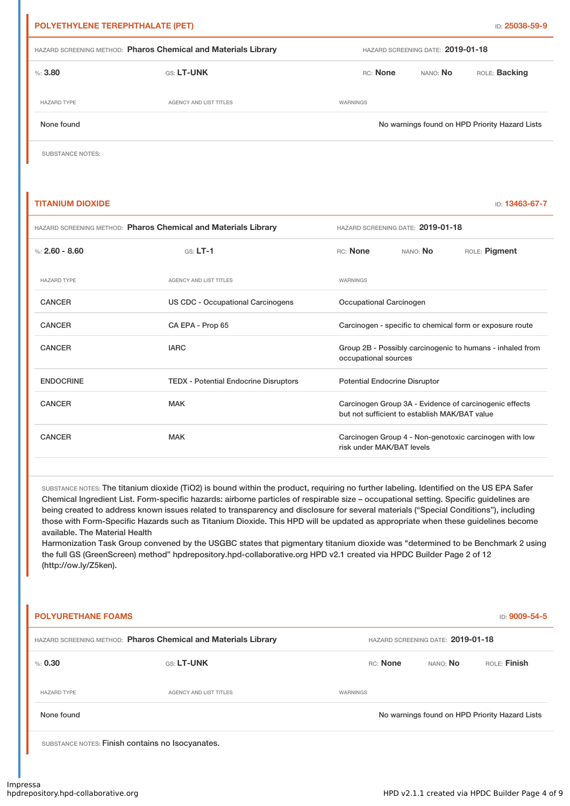| POLYETHYLENE TEREPHTHALATE (PET) |                                                                |                 |                                   | ID: 25038-59-9                                 |
|----------------------------------|----------------------------------------------------------------|-----------------|-----------------------------------|------------------------------------------------|
|                                  | HAZARD SCREENING METHOD: Pharos Chemical and Materials Library |                 | HAZARD SCREENING DATE: 2019-01-18 |                                                |
| %3,80                            | <b>GS: LT-UNK</b>                                              | RC: None        | NANO: No                          | ROLE: Backing                                  |
| <b>HAZARD TYPE</b>               | AGENCY AND LIST TITLES                                         | <b>WARNINGS</b> |                                   |                                                |
| None found                       |                                                                |                 |                                   | No warnings found on HPD Priority Hazard Lists |

SUBSTANCE NOTES:

#### **TITANIUM DIOXIDE ID: 13463-67-7**

| HAZARD SCREENING METHOD: Pharos Chemical and Materials Library |                                              |                                                                                                         | HAZARD SCREENING DATE: 2019-01-18 |               |
|----------------------------------------------------------------|----------------------------------------------|---------------------------------------------------------------------------------------------------------|-----------------------------------|---------------|
| %: $2.60 - 8.60$                                               | $GS: LT-1$                                   | RC: None                                                                                                | NANO: No                          | ROLE: Pigment |
| <b>HAZARD TYPE</b>                                             | <b>AGENCY AND LIST TITLES</b>                | <b>WARNINGS</b>                                                                                         |                                   |               |
| <b>CANCER</b>                                                  | US CDC - Occupational Carcinogens            | Occupational Carcinogen                                                                                 |                                   |               |
| <b>CANCER</b>                                                  | CA EPA - Prop 65                             | Carcinogen - specific to chemical form or exposure route                                                |                                   |               |
| <b>CANCER</b>                                                  | <b>IARC</b>                                  | Group 2B - Possibly carcinogenic to humans - inhaled from<br>occupational sources                       |                                   |               |
| <b>ENDOCRINE</b>                                               | <b>TEDX - Potential Endocrine Disruptors</b> | <b>Potential Endocrine Disruptor</b>                                                                    |                                   |               |
| <b>CANCER</b>                                                  | <b>MAK</b>                                   | Carcinogen Group 3A - Evidence of carcinogenic effects<br>but not sufficient to establish MAK/BAT value |                                   |               |
| <b>CANCER</b>                                                  | <b>MAK</b>                                   | Carcinogen Group 4 - Non-genotoxic carcinogen with low<br>risk under MAK/BAT levels                     |                                   |               |

SUBSTANCE NOTES: The titanium dioxide (TiO2) is bound within the product, requiring no further labeling. Identified on the US EPA Safer Chemical Ingredient List. Form-specific hazards: airborne particles of respirable size – occupational setting. Specific guidelines are being created to address known issues related to transparency and disclosure for several materials ("Special Conditions"), including those with Form-Specific Hazards such as Titanium Dioxide. This HPD will be updated as appropriate when these guidelines become available. The Material Health

Harmonization Task Group convened by the USGBC states that pigmentary titanium dioxide was "determined to be Benchmark 2 using the full GS (GreenScreen) method" hpdrepository.hpd-collaborative.org HPD v2.1 created via HPDC Builder Page 2 of 12 (http://ow.ly/Z5ken).

| <b>POLYURETHANE FOAMS</b>                                      |                                                  |          |                                   |                                                |
|----------------------------------------------------------------|--------------------------------------------------|----------|-----------------------------------|------------------------------------------------|
| HAZARD SCREENING METHOD: Pharos Chemical and Materials Library |                                                  |          | HAZARD SCREENING DATE: 2019-01-18 |                                                |
| $\%: 0.30$                                                     | GS: LT-UNK                                       | RC: None | NANO: <b>No</b>                   | ROLE: Finish                                   |
| <b>HAZARD TYPE</b>                                             | <b>AGENCY AND LIST TITLES</b>                    | WARNINGS |                                   |                                                |
| None found                                                     |                                                  |          |                                   | No warnings found on HPD Priority Hazard Lists |
|                                                                | SUBSTANCE NOTES: Finish contains no Isocyanates. |          |                                   |                                                |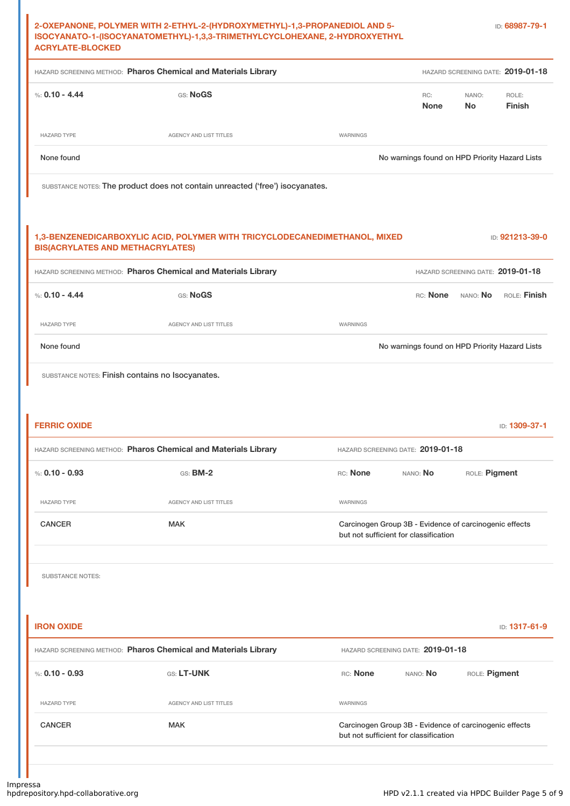| 2-OXEPANONE, POLYMER WITH 2-ETHYL-2-(HYDROXYMETHYL)-1,3-PROPANEDIOL AND 5- |  |
|----------------------------------------------------------------------------|--|
| ISOCYANATO-1-(ISOCYANATOMETHYL)-1,3,3-TRIMETHYLCYCLOHEXANE, 2-HYDROXYETHYL |  |
| <b>ACRYLATE-BLOCKED</b>                                                    |  |

|                                                                    | HAZARD SCREENING METHOD: Pharos Chemical and Materials Library                |                 |                                                                                                 |                                 | HAZARD SCREENING DATE: 2019-01-18 |
|--------------------------------------------------------------------|-------------------------------------------------------------------------------|-----------------|-------------------------------------------------------------------------------------------------|---------------------------------|-----------------------------------|
| %: $0.10 - 4.44$                                                   | GS: NoGS                                                                      |                 | RC:<br><b>None</b>                                                                              | NANO:<br><b>No</b>              | ROLE:<br><b>Finish</b>            |
| <b>HAZARD TYPE</b>                                                 | AGENCY AND LIST TITLES                                                        | WARNINGS        |                                                                                                 |                                 |                                   |
| None found                                                         |                                                                               |                 | No warnings found on HPD Priority Hazard Lists                                                  |                                 |                                   |
|                                                                    | SUBSTANCE NOTES: The product does not contain unreacted ('free') isocyanates. |                 |                                                                                                 |                                 |                                   |
| <b>BIS(ACRYLATES AND METHACRYLATES)</b>                            | 1,3-BENZENEDICARBOXYLIC ACID, POLYMER WITH TRICYCLODECANEDIMETHANOL, MIXED    |                 |                                                                                                 |                                 | ID: 921213-39-0                   |
|                                                                    | HAZARD SCREENING METHOD: Pharos Chemical and Materials Library                |                 |                                                                                                 |                                 | HAZARD SCREENING DATE: 2019-01-18 |
| %: $0.10 - 4.44$                                                   | GS: NoGS                                                                      |                 |                                                                                                 | RC: <b>None</b> NANO: <b>No</b> | ROLE: Finish                      |
| <b>HAZARD TYPE</b>                                                 | AGENCY AND LIST TITLES                                                        | WARNINGS        |                                                                                                 |                                 |                                   |
| None found                                                         |                                                                               |                 | No warnings found on HPD Priority Hazard Lists                                                  |                                 |                                   |
|                                                                    | SUBSTANCE NOTES: Finish contains no Isocyanates.                              |                 |                                                                                                 |                                 |                                   |
|                                                                    | HAZARD SCREENING METHOD: Pharos Chemical and Materials Library                |                 | HAZARD SCREENING DATE: 2019-01-18                                                               |                                 |                                   |
|                                                                    | <b>GS: BM-2</b>                                                               | RC: <b>None</b> | nano: <b>No</b>                                                                                 | ROLE: Pigment                   |                                   |
| HAZARD TYPE                                                        | AGENCY AND LIST TITLES                                                        | WARNINGS        |                                                                                                 |                                 | ID: 1309-37-1                     |
| <b>CANCER</b>                                                      | <b>MAK</b>                                                                    |                 | Carcinogen Group 3B - Evidence of carcinogenic effects<br>but not sufficient for classification |                                 |                                   |
| <b>FERRIC OXIDE</b><br>%: $0.10 - 0.93$<br><b>SUBSTANCE NOTES:</b> |                                                                               |                 |                                                                                                 |                                 |                                   |
| <b>IRON OXIDE</b>                                                  |                                                                               |                 |                                                                                                 |                                 |                                   |
|                                                                    | HAZARD SCREENING METHOD: Pharos Chemical and Materials Library                |                 | HAZARD SCREENING DATE: 2019-01-18                                                               |                                 |                                   |
| %: $0.10 - 0.93$                                                   | GS: LT-UNK                                                                    | RC: None        | NANO: <b>No</b>                                                                                 | ROLE: Pigment                   |                                   |
| HAZARD TYPE                                                        | AGENCY AND LIST TITLES                                                        | WARNINGS        |                                                                                                 |                                 | ID: 1317-61-9                     |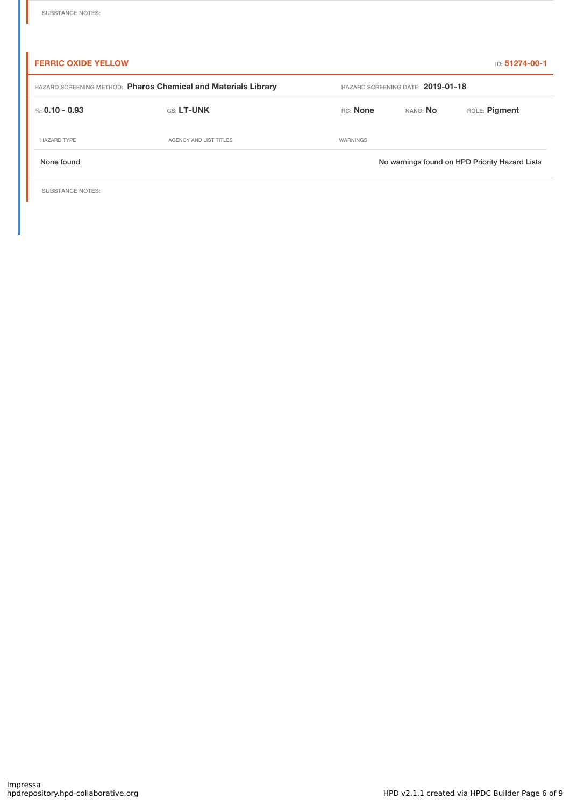| <b>FERRIC OXIDE YELLOW</b>                                     |                        |                                   |          | <b>ID: 51274-00-1</b>                          |
|----------------------------------------------------------------|------------------------|-----------------------------------|----------|------------------------------------------------|
| HAZARD SCREENING METHOD: Pharos Chemical and Materials Library |                        | HAZARD SCREENING DATE: 2019-01-18 |          |                                                |
| %: 0.10 - 0.93                                                 | <b>GS: LT-UNK</b>      | RC: None                          | NANO: No | ROLE: Pigment                                  |
| <b>HAZARD TYPE</b>                                             | AGENCY AND LIST TITLES | WARNINGS                          |          |                                                |
| None found                                                     |                        |                                   |          | No warnings found on HPD Priority Hazard Lists |
|                                                                |                        |                                   |          |                                                |

SUBSTANCE NOTES: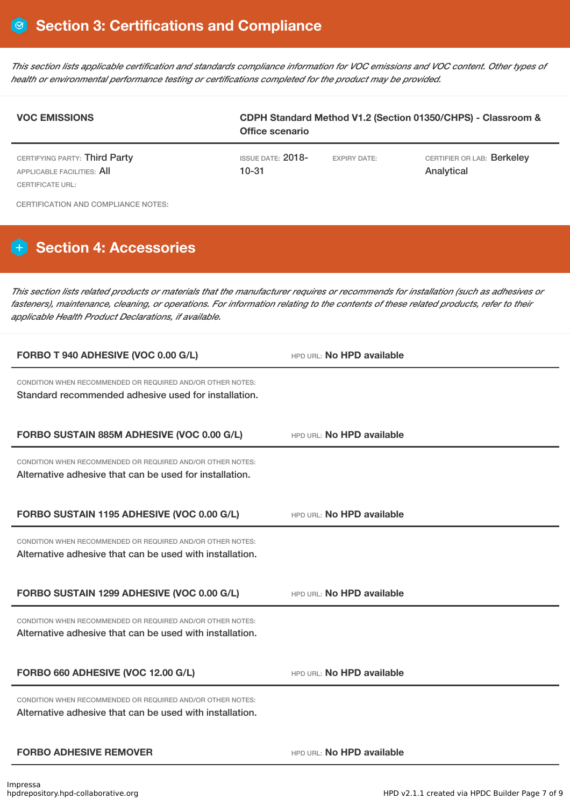This section lists applicable certification and standards compliance information for VOC emissions and VOC content. Other types of *health or environmental performance testing or certifications completed for the product may be provided.*

| <b>VOC EMISSIONS</b>                                                                                                                                                                                                                                                                                                                  | <b>Office scenario</b>                |                           | CDPH Standard Method V1.2 (Section 01350/CHPS) - Classroom & |
|---------------------------------------------------------------------------------------------------------------------------------------------------------------------------------------------------------------------------------------------------------------------------------------------------------------------------------------|---------------------------------------|---------------------------|--------------------------------------------------------------|
| CERTIFYING PARTY: Third Party<br><b>APPLICABLE FACILITIES: AII</b><br><b>CERTIFICATE URL:</b>                                                                                                                                                                                                                                         | <b>ISSUE DATE: 2018-</b><br>$10 - 31$ | <b>EXPIRY DATE:</b>       | CERTIFIER OR LAB: Berkeley<br>Analytical                     |
| <b>CERTIFICATION AND COMPLIANCE NOTES:</b>                                                                                                                                                                                                                                                                                            |                                       |                           |                                                              |
| <b>Section 4: Accessories</b>                                                                                                                                                                                                                                                                                                         |                                       |                           |                                                              |
| This section lists related products or materials that the manufacturer requires or recommends for installation (such as adhesives or<br>fasteners), maintenance, cleaning, or operations. For information relating to the contents of these related products, refer to their<br>applicable Health Product Declarations, if available. |                                       |                           |                                                              |
| FORBO T 940 ADHESIVE (VOC 0.00 G/L)                                                                                                                                                                                                                                                                                                   |                                       | HPD URL: No HPD available |                                                              |
| CONDITION WHEN RECOMMENDED OR REQUIRED AND/OR OTHER NOTES:<br>Standard recommended adhesive used for installation.                                                                                                                                                                                                                    |                                       |                           |                                                              |
| FORBO SUSTAIN 885M ADHESIVE (VOC 0.00 G/L)                                                                                                                                                                                                                                                                                            |                                       | HPD URL: No HPD available |                                                              |
| CONDITION WHEN RECOMMENDED OR REQUIRED AND/OR OTHER NOTES:<br>Alternative adhesive that can be used for installation.                                                                                                                                                                                                                 |                                       |                           |                                                              |
| FORBO SUSTAIN 1195 ADHESIVE (VOC 0.00 G/L)                                                                                                                                                                                                                                                                                            |                                       | HPD URL: No HPD available |                                                              |
| CONDITION WHEN RECOMMENDED OR REQUIRED AND/OR OTHER NOTES:<br>Alternative adhesive that can be used with installation.                                                                                                                                                                                                                |                                       |                           |                                                              |
| FORBO SUSTAIN 1299 ADHESIVE (VOC 0.00 G/L)                                                                                                                                                                                                                                                                                            |                                       | HPD URI: No HPD available |                                                              |
| CONDITION WHEN RECOMMENDED OR REQUIRED AND/OR OTHER NOTES:<br>Alternative adhesive that can be used with installation.                                                                                                                                                                                                                |                                       |                           |                                                              |
| FORBO 660 ADHESIVE (VOC 12.00 G/L)                                                                                                                                                                                                                                                                                                    |                                       | HPD URL: No HPD available |                                                              |
| CONDITION WHEN RECOMMENDED OR REQUIRED AND/OR OTHER NOTES:<br>Alternative adhesive that can be used with installation.                                                                                                                                                                                                                |                                       |                           |                                                              |
| <b>FORBO ADHESIVE REMOVER</b>                                                                                                                                                                                                                                                                                                         |                                       | HPD URL: No HPD available |                                                              |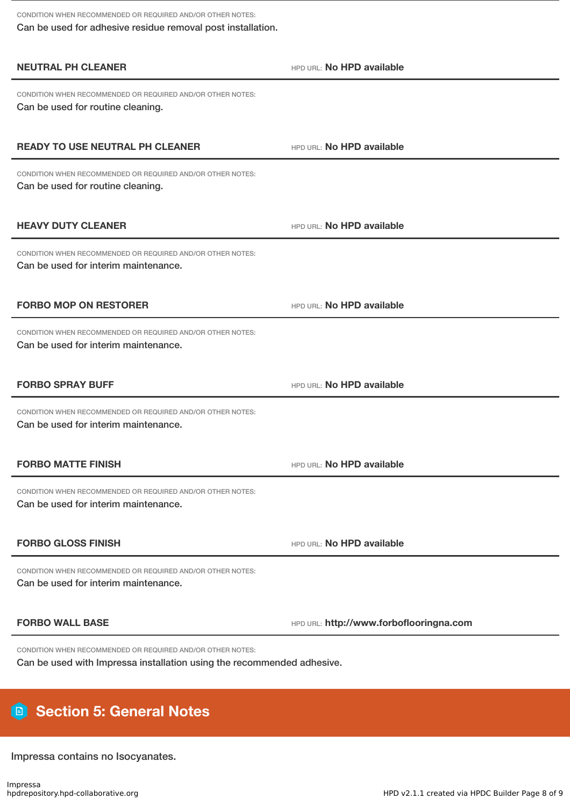CONDITION WHEN RECOMMENDED OR REQUIRED AND/OR OTHER NOTES: Can be used for adhesive residue removal post installation.

| <b>NEUTRAL PH CLEANER</b>                                                                          | HPD URL: No HPD available               |
|----------------------------------------------------------------------------------------------------|-----------------------------------------|
| CONDITION WHEN RECOMMENDED OR REQUIRED AND/OR OTHER NOTES:<br>Can be used for routine cleaning.    |                                         |
| <b>READY TO USE NEUTRAL PH CLEANER</b>                                                             | HPD URL: No HPD available               |
| CONDITION WHEN RECOMMENDED OR REQUIRED AND/OR OTHER NOTES:<br>Can be used for routine cleaning.    |                                         |
| <b>HEAVY DUTY CLEANER</b>                                                                          | HPD URL: No HPD available               |
| CONDITION WHEN RECOMMENDED OR REQUIRED AND/OR OTHER NOTES:<br>Can be used for interim maintenance. |                                         |
| <b>FORBO MOP ON RESTORER</b>                                                                       | HPD URL: No HPD available               |
| CONDITION WHEN RECOMMENDED OR REQUIRED AND/OR OTHER NOTES:<br>Can be used for interim maintenance. |                                         |
| <b>FORBO SPRAY BUFF</b>                                                                            | HPD URL: No HPD available               |
| CONDITION WHEN RECOMMENDED OR REQUIRED AND/OR OTHER NOTES:<br>Can be used for interim maintenance. |                                         |
|                                                                                                    |                                         |
| <b>FORBO MATTE FINISH</b>                                                                          | HPD URL: No HPD available               |
| CONDITION WHEN RECOMMENDED OR REQUIRED AND/OR OTHER NOTES:<br>Can be used for interim maintenance. |                                         |
| <b>FORBO GLOSS FINISH</b>                                                                          | HPD URL: No HPD available               |
| CONDITION WHEN RECOMMENDED OR REQUIRED AND/OR OTHER NOTES:<br>Can be used for interim maintenance. |                                         |
| <b>FORBO WALL BASE</b>                                                                             | HPD URL: http://www.forboflooringna.com |

# **Section 5: General Notes**

Impressa contains no Isocyanates.